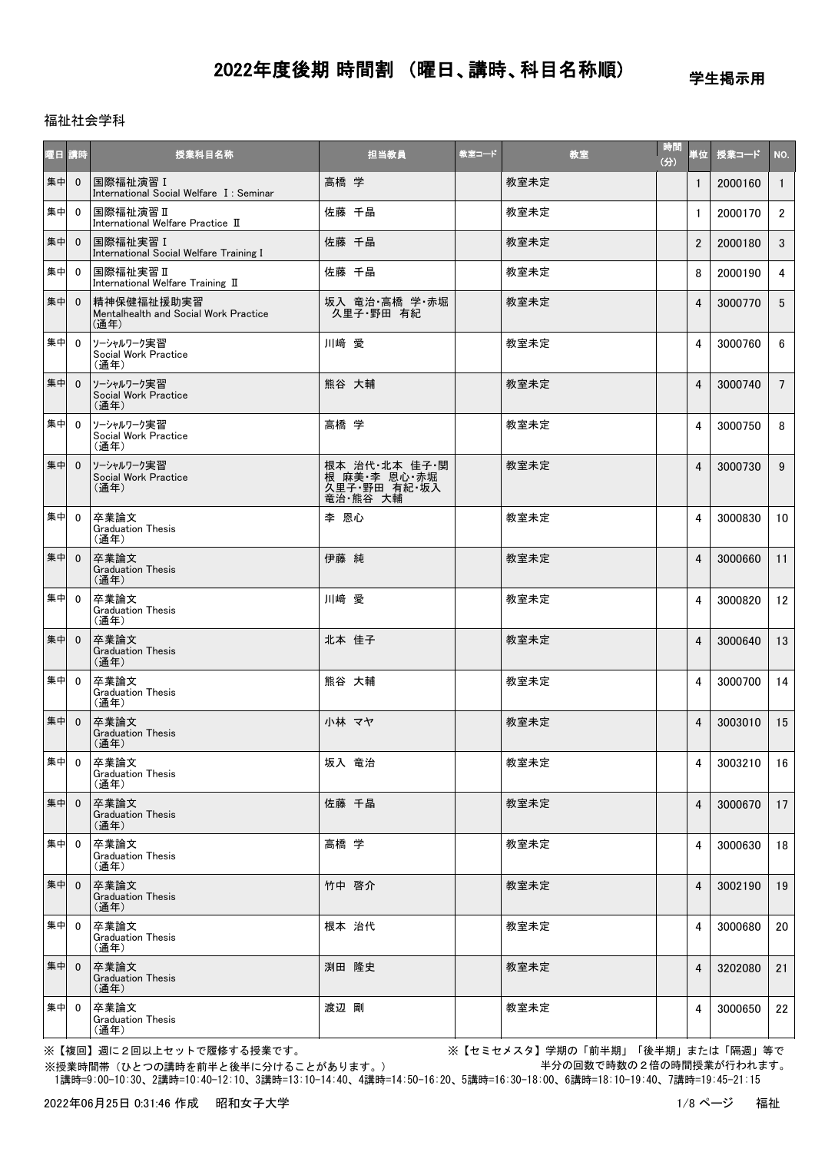学生掲示用

### 福祉社会学科

| 曜日 講時 |                | 授業科目名称                                                      | 担当教員                                                      | 教室コード | 教室   | 時間<br>(3) | 単位             | 授業コード   | NO.             |
|-------|----------------|-------------------------------------------------------------|-----------------------------------------------------------|-------|------|-----------|----------------|---------|-----------------|
| 集中    | $\mathbf{0}$   | 国際福祉演習 I<br>International Social Welfare I: Seminar         | 高橋 学                                                      |       | 教室未定 |           | $\mathbf{1}$   | 2000160 | $\mathbf{1}$    |
| 集中    | $\mathbf{0}$   | 国際福祉演習 II<br>International Welfare Practice II              | 佐藤 千晶                                                     |       | 教室未定 |           | $\mathbf{1}$   | 2000170 | $2^{\circ}$     |
| 集中    | $\mathbf 0$    | 国際福祉実習 I<br>International Social Welfare Training I         | 佐藤 千晶                                                     |       | 教室未定 |           | $\overline{2}$ | 2000180 | 3               |
| 集中    | $\mathbf{0}$   | 国際福祉実習 II<br>International Welfare Training II              | 佐藤 千晶                                                     |       | 教室未定 |           | 8              | 2000190 | 4               |
| 集中    | $\mathbf{0}$   | 精神保健福祉援助実習<br>Mentalhealth and Social Work Practice<br>(通年) | 坂入 竜治·高橋 学·赤堀<br>久里子·野田 有紀                                |       | 教室未定 |           | 4              | 3000770 | 5 <sup>5</sup>  |
| 集中    | $\mathbf{0}$   | ソーシャルワーク実習<br>Social Work Practice<br>(通年)                  | 川﨑 愛                                                      |       | 教室未定 |           | 4              | 3000760 | 6               |
| 集中    | $\mathbf{0}$   | ソーシャルワーク実習<br>Social Work Practice<br>(通年)                  | 熊谷 大輔                                                     |       | 教室未定 |           | 4              | 3000740 | $7^{\circ}$     |
| 集中    | $\mathbf{0}$   | ソーシャルワーク実習<br>Social Work Practice<br>(通年)                  | 高橋 学                                                      |       | 教室未定 |           | 4              | 3000750 | 8               |
| 集中    | $\mathbf{0}$   | ソーシャルワーク実習<br>Social Work Practice<br>(通年)                  | 根本 治代・北本 佳子・関<br>根 麻美・李 恩心・赤堀<br>久里子・野田 有紀・坂入<br>竜治 熊谷 大輔 |       | 教室未定 |           | 4              | 3000730 | 9               |
| 集中    | $\mathbf{0}$   | 卒業論文<br><b>Graduation Thesis</b><br>(通年)                    | 李 恩心                                                      |       | 教室未定 |           | 4              | 3000830 | 10 <sup>°</sup> |
| 集中    | $\mathbf{0}$   | 卒業論文<br><b>Graduation Thesis</b><br>(通年)                    | 伊藤 純                                                      |       | 教室未定 |           | 4              | 3000660 | 11              |
| 集中    | $\mathbf{0}$   | 卒業論文<br><b>Graduation Thesis</b><br>(通年)                    | 川﨑 愛                                                      |       | 教室未定 |           | 4              | 3000820 | 12              |
| 集中    | $\mathbf{0}$   | 卒業論文<br><b>Graduation Thesis</b><br>(通年)                    | 北本 佳子                                                     |       | 教室未定 |           | 4              | 3000640 | 13              |
| 集中    | $\mathbf{0}$   | 卒業論文<br><b>Graduation Thesis</b><br>(通年)                    | 熊谷 大輔                                                     |       | 教室未定 |           | 4              | 3000700 | 14              |
| 集中    | $\mathbf{0}$   | 卒業論文<br><b>Graduation Thesis</b><br>(通年)                    | 小林 マヤ                                                     |       | 教室未定 |           | 4              | 3003010 | 15              |
| 集中 0  |                | 卒業論文<br><b>Graduation Thesis</b><br>(通年)                    | 坂入 竜治                                                     |       | 教室未定 |           | 4              | 3003210 | 16              |
| 集中    | $\overline{0}$ | 卒業論文<br><b>Graduation Thesis</b><br>(通年)                    | 佐藤 千晶                                                     |       | 教室未定 |           | 4              | 3000670 | 17              |
| 集中    | $\mathbf{0}$   | 卒業論文<br><b>Graduation Thesis</b><br>(通年)                    | 高橋 学                                                      |       | 教室未定 |           | 4              | 3000630 | 18              |
| 集中    | $\mathbf{0}$   | 卒業論文<br><b>Graduation Thesis</b><br>(通年)                    | 竹中 啓介                                                     |       | 教室未定 |           | 4              | 3002190 | 19              |
| 集中    | $\mathbf{0}$   | 卒業論文<br><b>Graduation Thesis</b><br>(通年)                    | 根本 治代                                                     |       | 教室未定 |           | 4              | 3000680 | 20              |
| 集中    | $\mathbf{0}$   | 卒業論文<br><b>Graduation Thesis</b><br>(通年)                    | 渕田 隆史                                                     |       | 教室未定 |           | 4              | 3202080 | 21              |
| 集中    | $\overline{0}$ | 卒業論文<br><b>Graduation Thesis</b><br>(通年)                    | 渡辺 剛                                                      |       | 教室未定 |           | 4              | 3000650 | 22              |

※【複回】週に2回以上セットで履修する授業です。 ※【セミセメスタ】学期の「前半期」「後半期」または「隔週」等で 半分の回数で時数の2倍の時間授業が行われます。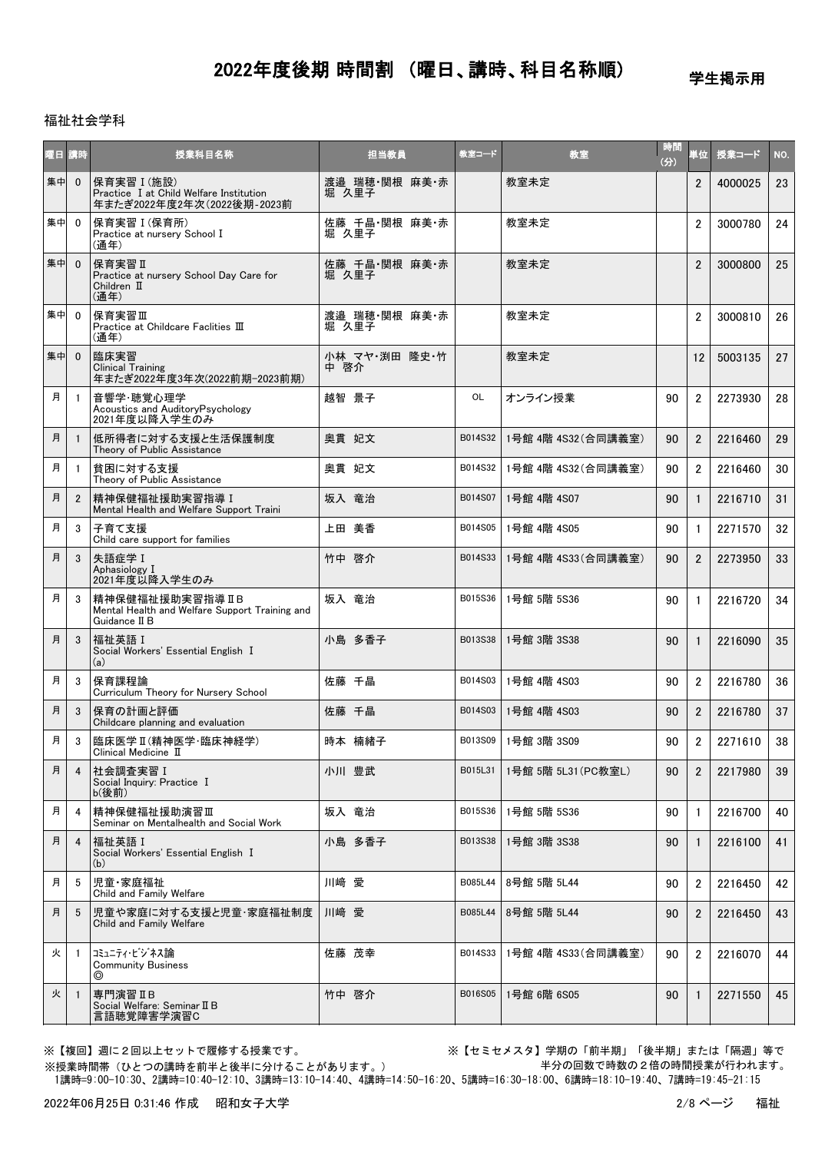学生掲示用

### 福祉社会学科

| 曜日 | 講時             | 授業科目名称                                                                               | 担当教員                   | 教室コード   | 教室                  | 時間<br>(分) | 単位             | 授業コード   | NO. |
|----|----------------|--------------------------------------------------------------------------------------|------------------------|---------|---------------------|-----------|----------------|---------|-----|
| 集中 | $\mathbf{0}$   | 保育実習 I (施設)<br>Practice I at Child Welfare Institution<br>年またぎ2022年度2年次(2022後期-2023前 | 渡邉 瑞穂 関根 麻美 赤<br>堀 久里子 |         | 教室未定                |           | 2              | 4000025 | 23  |
| 集中 | $\mathbf{0}$   | 保育実習 I (保育所)<br>Practice at nursery School I<br>(通年)                                 | 佐藤 千晶・関根 麻美・赤<br>堀 久里子 |         | 教室未定                |           | $\overline{2}$ | 3000780 | 24  |
| 集中 | $\mathbf{0}$   | 保育実習Ⅱ<br>Practice at nursery School Day Care for<br>Children II<br>(通年)              | 佐藤 千晶 関根 麻美 赤<br>堀 久里子 |         | 教室未定                |           | $\overline{2}$ | 3000800 | 25  |
| 集中 | $\mathbf{0}$   | 保育実習Ⅲ<br>Practice at Childcare Faclities III<br>(通年)                                 | 渡邉 瑞穂 関根 麻美 赤<br>堀 久里子 |         | 教室未定                |           | $\overline{2}$ | 3000810 | 26  |
| 集中 | $\overline{0}$ | 臨床実習<br><b>Clinical Training</b><br>年またぎ2022年度3年次(2022前期-2023前期)                     | 小林 マヤ・渕田 隆史・竹<br>中 啓介  |         | 教室未定                |           | 12             | 5003135 | 27  |
| 月  | -1             | 音響学·聴覚心理学<br>Acoustics and AuditoryPsychology<br>2021年度以降入学生のみ                       | 越智 景子                  | OL      | オンライン授業             | 90        | $\overline{2}$ | 2273930 | 28  |
| 月  | $\mathbf{1}$   | 低所得者に対する支援と生活保護制度<br>Theory of Public Assistance                                     | 奧貫 妃文                  | B014S32 | 1号館 4階 4S32 (合同講義室) | 90        | $\overline{2}$ | 2216460 | 29  |
| 月  | $\mathbf{1}$   | 貧困に対する支援<br>Theory of Public Assistance                                              | 奥貫 妃文                  | B014S32 | 1号館 4階 4S32 (合同講義室) | 90        | $\overline{2}$ | 2216460 | 30  |
| 月  | $\overline{2}$ | 精神保健福祉援助実習指導 I<br>Mental Health and Welfare Support Traini                           | 坂入 竜治                  | B014S07 | 1号館 4階 4S07         | 90        | $\mathbf{1}$   | 2216710 | 31  |
| 月  | 3              | 子育て支援<br>Child care support for families                                             | 上田 美香                  | B014S05 | 1号館 4階 4S05         | 90        | $\mathbf{1}$   | 2271570 | 32  |
| 月  | 3              | 失語症学 I<br>Aphasiology I<br>2021年度以降入学生のみ                                             | 竹中 啓介                  | B014S33 | 1号館 4階 4S33(合同講義室)  | 90        | $\overline{2}$ | 2273950 | 33  |
| 月  | 3              | 精神保健福祉援助実習指導 II B<br>Mental Health and Welfare Support Training and<br>Guidance II B | 坂入 竜治                  | B015S36 | 1号館 5階 5S36         | 90        | $\mathbf{1}$   | 2216720 | 34  |
| 月  | 3              | 福祉英語 I<br>Social Workers' Essential English I<br>(a)                                 | 小島 多香子                 | B013S38 | 1号館 3階 3S38         | 90        | $\mathbf{1}$   | 2216090 | 35  |
| 月  | 3              | 保育課程論<br>Curriculum Theory for Nursery School                                        | 佐藤 千晶                  | B014S03 | 1号館 4階 4S03         | 90        | $\overline{2}$ | 2216780 | 36  |
| 月  | 3              | 保育の計画と評価<br>Childcare planning and evaluation                                        | 佐藤 千晶                  | B014S03 | 1号館 4階 4S03         | 90        | $\overline{2}$ | 2216780 | 37  |
| 月  | 3              | 臨床医学 II (精神医学·臨床神経学)<br>Clinical Medicine $\mathbb I$                                | 時本 楠緒子                 | B013S09 | 1号館 3階 3S09         | 90        | $\overline{2}$ | 2271610 | 38  |
| 月  | 4              | 社会調査実習 I<br>Social Inquiry: Practice I<br>b(後前)                                      | 小川 豊武                  | B015L31 | 1号館 5階 5L31(PC教室L)  | 90        | $\overline{2}$ | 2217980 | 39  |
| 月  | 4              | 精神保健福祉援助演習皿<br>Seminar on Mentalhealth and Social Work                               | 坂入 竜治                  | B015S36 | 1号館 5階 5S36         | 90        | $\mathbf{1}$   | 2216700 | 40  |
| 月  | 4              | 福祉英語 I<br>Social Workers' Essential English I<br>(b)                                 | 小島 多香子                 | B013S38 | 1号館 3階 3S38         | 90        | $\mathbf{1}$   | 2216100 | 41  |
| 月  | 5              | 児童·家庭福祉<br>Child and Family Welfare                                                  | 川﨑 愛                   | B085L44 | 8号館 5階 5L44         | 90        | $\overline{2}$ | 2216450 | 42  |
| 月  | 5              | 児童や家庭に対する支援と児童・家庭福祉制度<br>Child and Family Welfare                                    | 川﨑 愛                   | B085L44 | 8号館 5階 5L44         | 90        | $\overline{2}$ | 2216450 | 43  |
| 火  | -1             | コミュニティ・ビジネス論<br><b>Community Business</b><br>◎                                       | 佐藤 茂幸                  | B014S33 | 1号館 4階 4S33 (合同講義室) | 90        | $\overline{2}$ | 2216070 | 44  |
| 火  | -1             | 専門演習IB<br>Social Welfare: Seminar II B<br>言語聴覚障害学演習C                                 | 竹中 啓介                  | B016S05 | 1号館 6階 6S05         | 90        | 1              | 2271550 | 45  |

※【複回】週に2回以上セットで履修する授業です。 ※【セミセメスタ】学期の「前半期」「後半期」または「隔週」等で 半分の回数で時数の2倍の時間授業が行われます。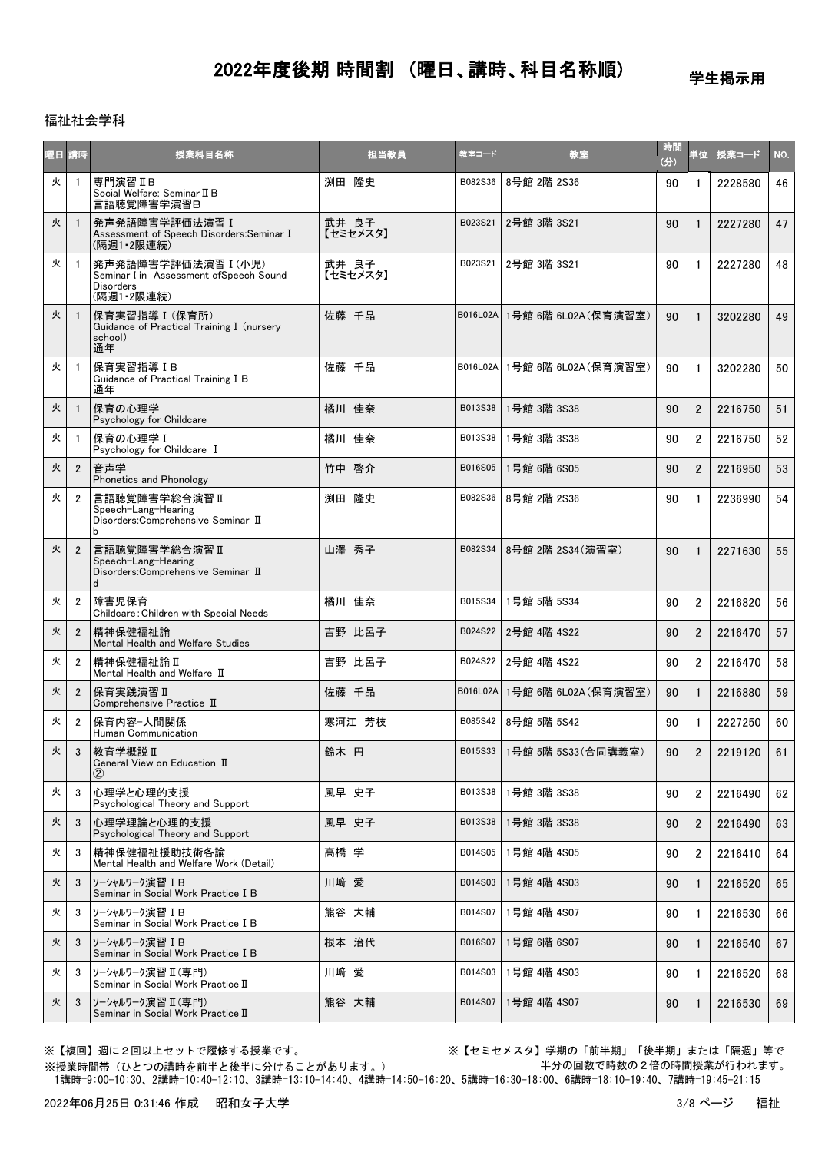学生掲示用

#### 福祉社会学科

| 屋目 | 請時             | 授業科目名称                                                                                          | 担当教員              | 教室コード    | 教室                         | 時間<br>(分) | 単位             | 授業コード   | NO. |
|----|----------------|-------------------------------------------------------------------------------------------------|-------------------|----------|----------------------------|-----------|----------------|---------|-----|
| 火  | $\overline{1}$ | 専門演習IB<br>Social Welfare: Seminar II B<br>言語聴覚障害学演習B                                            | 渕田 降史             | B082S36  | 8号館 2階 2S36                | 90        | 1              | 2228580 | 46  |
| 火  | -1             | 発声発語障害学評価法演習 I<br>Assessment of Speech Disorders: Seminar I<br>(隔週1·2限連続)                       | 武井 良子<br>【セミセメスタ】 | B023S21  | 2号館 3階 3S21                | 90        | $\mathbf{1}$   | 2227280 | 47  |
| 火  | - 1            | 発声発語障害学評価法演習 I (小児)<br>Seminar I in Assessment ofSpeech Sound<br><b>Disorders</b><br>(隔週1·2限連続) | 武井 良子<br>【セミセメスタ】 | B023S21  | 2号館 3階 3S21                | 90        | $\mathbf{1}$   | 2227280 | 48  |
| 火  | -1             | 保育実習指導 I (保育所)<br>Guidance of Practical Training I (nursery<br>school)<br>通年                    | 佐藤 千晶             | B016L02A | 1号館 6階 6L02A (保育演習室)       | 90        |                | 3202280 | 49  |
| 火  | $\overline{1}$ | 保育実習指導IB<br>Guidance of Practical Training I B<br>通年                                            | 佐藤 千晶             | B016L02A | 1号館 6階 6L02A(保育演習室)        | 90        | $\mathbf{1}$   | 3202280 | 50  |
| 火  | $\mathbf{1}$   | 保育の心理学<br>Psychology for Childcare                                                              | 橘川 佳奈             | B013S38  | 1号館 3階 3S38                | 90        | $\overline{2}$ | 2216750 | 51  |
| 火  | -1             | 保育の心理学 I<br>Psychology for Childcare I                                                          | 橘川 佳奈             | B013S38  | 1号館 3階 3S38                | 90        | $\overline{2}$ | 2216750 | 52  |
| 火  | $\overline{2}$ | 音声学<br>Phonetics and Phonology                                                                  | 竹中 啓介             | B016S05  | 1号館 6階 6S05                | 90        | $\overline{2}$ | 2216950 | 53  |
| 火  | $\overline{2}$ | 言語聴覚障害学総合演習 II<br>Speech-Lang-Hearing<br>Disorders: Comprehensive Seminar II<br>b               | 渕田 降史             | B082S36  | 8号館 2階 2S36                | 90        | $\mathbf{1}$   | 2236990 | 54  |
| 火  | $\overline{2}$ | 言語聴覚障害学総合演習Ⅱ<br>Speech-Lang-Hearing<br>Disorders: Comprehensive Seminar II<br>d                 | 山澤 秀子             | B082S34  | 8号館 2階 2S34 (演習室)          | 90        | $\mathbf{1}$   | 2271630 | 55  |
| 火  | $\overline{2}$ | 障害児保育<br>Childcare: Children with Special Needs                                                 | 橘川 佳奈             | B015S34  | 1号館 5階 5S34                | 90        | $\overline{2}$ | 2216820 | 56  |
| 火  | $\overline{2}$ | 精神保健福祉論<br>Mental Health and Welfare Studies                                                    | 吉野 比呂子            | B024S22  | 2号館 4階 4S22                | 90        | $\overline{2}$ | 2216470 | 57  |
| 火  | $\overline{2}$ | 精神保健福祉論Ⅱ<br>Mental Health and Welfare II                                                        | 吉野 比呂子            | B024S22  | 2号館 4階 4S22                | 90        | $\overline{2}$ | 2216470 | 58  |
| 火  | $\overline{2}$ | 保育実践演習 II<br>Comprehensive Practice II                                                          | 佐藤 千晶             | B016L02A | 1号館 6階 6L02A(保育演習室)        | 90        | $\mathbf{1}$   | 2216880 | 59  |
| 火  | $\overline{2}$ | 保育内容-人間関係<br>Human Communication                                                                | 寒河江 芳枝            | B085S42  | 8号館 5階 5S42                | 90        | $\mathbf{1}$   | 2227250 | 60  |
| 火  | 3              | 教育学概説Ⅱ<br>General View on Education II<br>$\rm(2)$                                              | 鈴木 円              |          | B015S33 1号館 5階 5S33(合同講義室) | 90        | $\mathfrak{p}$ | 2219120 | 61  |
| 火  | 3              | 心理学と心理的支援<br>Psychological Theory and Support                                                   | 風早 史子             | B013S38  | 1号館 3階 3S38                | 90        | $\overline{2}$ | 2216490 | 62  |
| 火  | 3              | 心理学理論と心理的支援<br>Psychological Theory and Support                                                 | 風早 史子             | B013S38  | 1号館 3階 3S38                | 90        | $\overline{2}$ | 2216490 | 63  |
| 火  | 3              | 精神保健福祉援助技術各論<br>Mental Health and Welfare Work (Detail)                                         | 高橋 学              | B014S05  | 1号館 4階 4S05                | 90        | $\overline{2}$ | 2216410 | 64  |
| 火  | 3              | ソーシャルワーク演習 IB<br>Seminar in Social Work Practice I B                                            | 川崎 愛              | B014S03  | 1号館 4階 4S03                | 90        | 1              | 2216520 | 65  |
| 火  | 3              | ソーシャルワーク演習 IB<br>Seminar in Social Work Practice I B                                            | 熊谷 大輔             | B014S07  | 1号館 4階 4S07                | 90        | 1              | 2216530 | 66  |
| 火  | -3             | ソーシャルワーク演習 IB<br>Seminar in Social Work Practice I B                                            | 根本 治代             | B016S07  | 1号館 6階 6S07                | 90        | $\mathbf{1}$   | 2216540 | 67  |
| 火  | 3              | ソーシャルワーク演習 II (専門)<br>Seminar in Social Work Practice II                                        | 川﨑 愛              | B014S03  | 1号館 4階 4S03                | 90        | 1              | 2216520 | 68  |
| 火  | 3              | ソーシャルワーク演習 Ⅱ(専門)<br>Seminar in Social Work Practice II                                          | 熊谷 大輔             | B014S07  | 1号館 4階 4S07                | 90        | $\mathbf{1}$   | 2216530 | 69  |

※【複回】週に2回以上セットで履修する授業です。 ※【セミセメスタ】学期の「前半期」「後半期」または「隔週」等で 半分の回数で時数の2倍の時間授業が行われます。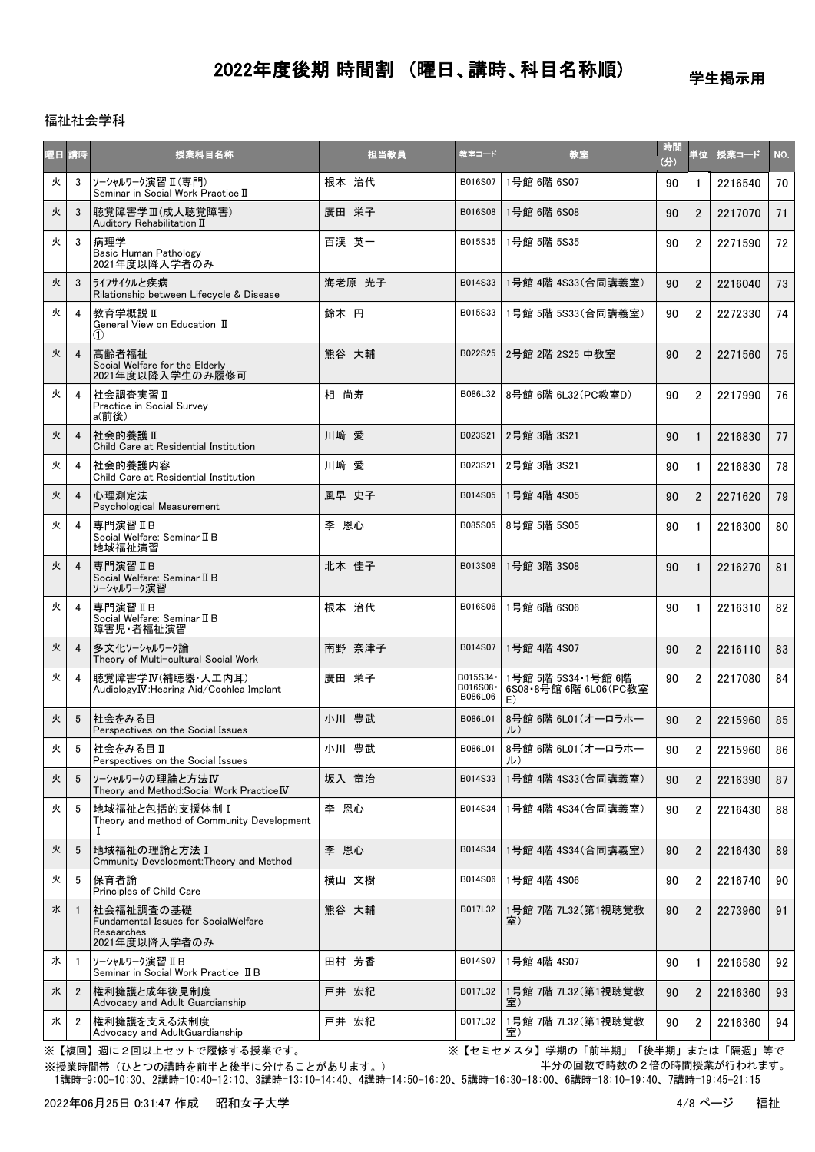学生掲示用

### 福祉社会学科

| 曜日 | 請時             | 授業科目名称                                                                                  | 担当教員   | 教室コード                           | 教室                                                   | 時間<br>(分) | 単位             | 授業コード   | NO.  |
|----|----------------|-----------------------------------------------------------------------------------------|--------|---------------------------------|------------------------------------------------------|-----------|----------------|---------|------|
| 火  | 3              | ソーシャルワーク演習 II (専門)<br>Seminar in Social Work Practice II                                | 根本 治代  | B016S07                         | 1号館 6階 6S07                                          | 90        | $\mathbf{1}$   | 2216540 | 70 l |
| 火  | 3              | 聴覚障害学Ⅲ(成人聴覚障害)<br>Auditory Rehabilitation II                                            | 廣田 栄子  | B016S08                         | 1号館 6階 6S08                                          | 90        | $\overline{2}$ | 2217070 | 71   |
| 火  | 3              | 病理学<br><b>Basic Human Pathology</b><br>2021年度以降入学者のみ                                    | 百渓 英一  | B015S35                         | 1号館 5階 5S35                                          | 90        | $\overline{2}$ | 2271590 | 72   |
| 火  | 3              | うイフサイクルと疾病<br>Rilationship between Lifecycle & Disease                                  | 海老原 光子 | B014S33                         | 1号館 4階 4S33(合同講義室)                                   | 90        | $\overline{2}$ | 2216040 | 73   |
| 火  | $\overline{4}$ | 教育学概説Ⅱ<br>General View on Education II<br>(1)                                           | 鈴木 円   | B015S33                         | 1号館 5階 5S33(合同講義室)                                   | 90        | $\overline{2}$ | 2272330 | 74   |
| 火  | $\overline{4}$ | 高齢者福祉<br>Social Welfare for the Elderly<br>2021年度以降入学生のみ履修可                             | 熊谷 大輔  | B022S25                         | 2号館 2階 2S25 中教室                                      | 90        | $\overline{2}$ | 2271560 | 75   |
| 火  | $\overline{4}$ | 社会調査実習 II<br>Practice in Social Survey<br>a(前後)                                         | 相 尚寿   | B086L32                         | 8号館 6階 6L32 (PC教室D)                                  | 90        | $\overline{2}$ | 2217990 | 76   |
| 火  | $\overline{4}$ | 社会的養護Ⅱ<br>Child Care at Residential Institution                                         | 川崎 愛   | B023S21                         | 2号館 3階 3S21                                          | 90        | $\mathbf{1}$   | 2216830 | 77   |
| 火  | 4              | 社会的養護内容<br>Child Care at Residential Institution                                        | 川﨑 愛   | B023S21                         | 2号館 3階 3S21                                          | 90        | $\mathbf{1}$   | 2216830 | 78   |
| 火  | $\overline{4}$ | 心理測定法<br>Psychological Measurement                                                      | 風早 史子  | B014S05                         | 1号館 4階 4S05                                          | 90        | $\overline{2}$ | 2271620 | 79   |
| 火  | 4              | 専門演習 II B<br>Social Welfare: Seminar II B<br>地域福祉演習                                     | 李 恩心   | B085S05                         | 8号館 5階 5S05                                          | 90        | $\mathbf{1}$   | 2216300 | 80   |
| 火  | $\overline{4}$ | 専門演習 II B<br>Social Welfare: Seminar II B<br>ソーシャルワーク演習                                 | 北本 佳子  | B013S08                         | 1号館 3階 3S08                                          | 90        | $\mathbf{1}$   | 2216270 | 81   |
| 火  | 4              | 専門演習IB<br>Social Welfare: Seminar II B<br>障害児·者福祉演習                                     | 根本 治代  | B016S06                         | 1号館 6階 6S06                                          | 90        | $\mathbf{1}$   | 2216310 | 82   |
| 火  | $\overline{4}$ | 多文化ソーシャルワーク論<br>Theory of Multi-cultural Social Work                                    | 南野 奈津子 | B014S07                         | 1号館 4階 4S07                                          | 90        | $\overline{2}$ | 2216110 | 83   |
| 火  | 4              | 聴覚障害学IV(補聴器·人工内耳)<br>Audiology IV: Hearing Aid/Cochlea Implant                          | 廣田 栄子  | B015S34·<br>B016S08·<br>B086L06 | 1号館 5階 5S34·1号館 6階<br>6S08 · 8号館 6階 6L06 (PC教室<br>E) | 90        | $\overline{2}$ | 2217080 | 84   |
| 火  | 5              | 社会をみる目<br>Perspectives on the Social Issues                                             | 小川 豊武  | B086L01                         | 8号館 6階 6L01 (オーロラホー<br>ル)                            | 90        | $\overline{2}$ | 2215960 | 85   |
| 火  | 5              | 社会をみる目Ⅱ<br>Perspectives on the Social Issues                                            | 小川 豊武  | B086L01                         | 8号館 6階 6L01 (オーロラホー<br>ル)                            | 90        | 2              | 2215960 | 86   |
| 火  | 5              | ソーシャルワークの理論と方法IV<br>Theory and Method: Social Work Practice IV                          | 坂入 竜治  | B014S33                         | 1号館 4階 4S33(合同講義室)                                   | 90        | $\overline{2}$ | 2216390 | 87   |
| 火  | 5              | 地域福祉と包括的支援体制 I<br>Theory and method of Community Development                            | 李 恩心   | B014S34                         | 1号館 4階 4S34 (合同講義室)                                  | 90        | $\overline{2}$ | 2216430 | 88   |
| 火  | 5              | 地域福祉の理論と方法 I<br>Cmmunity Development: Theory and Method                                 | 李 恩心   | B014S34                         | 1号館 4階 4S34(合同講義室)                                   | 90        | $\overline{2}$ | 2216430 | 89   |
| 火  | 5              | 保育者論<br>Principles of Child Care                                                        | 横山 文樹  | B014S06                         | 1号館 4階 4S06                                          | 90        | $\overline{2}$ | 2216740 | 90   |
| 水  | $\overline{1}$ | 社会福祉調査の基礎<br><b>Fundamental Issues for SocialWelfare</b><br>Researches<br>2021年度以降入学者のみ | 熊谷 大輔  | B017L32                         | 1号館 7階 7L32(第1視聴覚教<br>室)                             | 90        | $\overline{2}$ | 2273960 | 91   |
| 水  | -1             | ソーシャルワーク演習 IB<br>Seminar in Social Work Practice II B                                   | 田村 芳香  | B014S07                         | 1号館 4階 4S07                                          | 90        | 1              | 2216580 | 92   |
| 水  | $\overline{2}$ | 権利擁護と成年後見制度<br>Advocacy and Adult Guardianship                                          | 戸井 宏紀  | B017L32                         | 1号館 7階 7L32(第1視聴覚教<br>室)                             | 90        | $\overline{2}$ | 2216360 | 93   |
| 水  | $\overline{2}$ | 権利擁護を支える法制度<br>Advocacy and AdultGuardianship                                           | 戸井 宏紀  | B017L32                         | 1号館 7階 7L32 (第1視聴覚教<br>室)                            | 90        | $\overline{2}$ | 2216360 | 94   |

※【複回】週に2回以上セットで履修する授業です。 ※【セミセメスタ】学期の「前半期」「後半期」または「隔週」等で 半分の回数で時数の2倍の時間授業が行われます。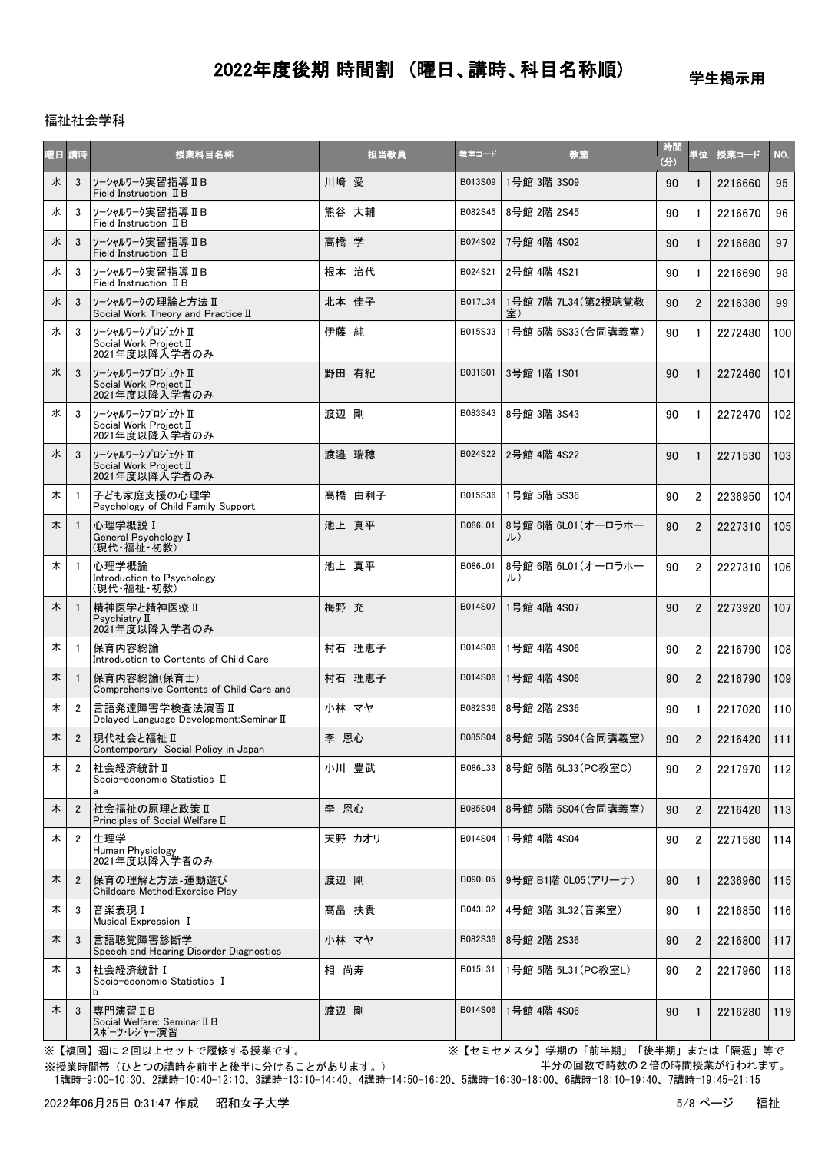学生掲示用

### 福祉社会学科

| 园目 | 請時             | 授業科目名称                                                       | 担当教員   | 教室コード   | 教室                        | 時間<br>(分) | 単位             | 授業コード   | NO. |
|----|----------------|--------------------------------------------------------------|--------|---------|---------------------------|-----------|----------------|---------|-----|
| 水  | 3              | ソーシャルワーク実習指導 ⅡB<br>Field Instruction II B                    | 川崎 愛   | B013S09 | 1号館 3階 3S09               | 90        | $\mathbf{1}$   | 2216660 | 95  |
| 水  | 3              | ソーシャルワーク実習指導 IIB<br>Field Instruction II B                   | 熊谷 大輔  | B082S45 | 8号館 2階 2S45               | 90        | $\mathbf{1}$   | 2216670 | 96  |
| 水  | 3              | ソーシャルワーク実習指導 ⅡB<br>Field Instruction II B                    | 高橋 学   | B074S02 | 7号館 4階 4S02               | 90        | $\mathbf{1}$   | 2216680 | 97  |
| 水  | 3              | ソーシャルワーク実習指導 ⅡB<br>Field Instruction II B                    | 根本 治代  | B024S21 | 2号館 4階 4S21               | 90        | $\mathbf{1}$   | 2216690 | 98  |
| 水  | 3              | ソーシャルワークの理論と方法 II<br>Social Work Theory and Practice II      | 北本 佳子  | B017L34 | 1号館 7階 7L34(第2視聴覚教        | 90        | $\overline{2}$ | 2216380 | 99  |
| 水  | 3              | ソーシャルワークプロジェクト II<br>Social Work Project II<br>2021年度以降入学者のみ | 伊藤 純   | B015S33 | 1号館 5階 5S33 (合同講義室)       | 90        | $\mathbf{1}$   | 2272480 | 100 |
| 水  | 3              | ソーシャルワークプロジェクト Ⅱ<br>Social Work Project II<br>2021年度以降入学者のみ  | 野田 有紀  | B031S01 | 3号館 1階 1S01               | 90        | $\mathbf{1}$   | 2272460 | 101 |
| 水  | 3              | ソーシャルワークプロジェクト II<br>Social Work Project II<br>2021年度以降入学者のみ | 渡辺 剛   | B083S43 | 8号館 3階 3S43               | 90        | $\mathbf{1}$   | 2272470 | 102 |
| 水  | 3              | ソーシャルワークプロジェクト II<br>Social Work Project II<br>2021年度以降入学者のみ | 渡邉 瑞穂  | B024S22 | 2号館 4階 4S22               | 90        | $\mathbf{1}$   | 2271530 | 103 |
| 木  | $\overline{1}$ | 子ども家庭支援の心理学<br>Psychology of Child Family Support            | 髙橋 由利子 | B015S36 | 1号館 5階 5S36               | 90        | $\overline{2}$ | 2236950 | 104 |
| 木  | $\blacksquare$ | 心理学概説 I<br>General Psychology I<br>(現代・福祉・初教)                | 池上 真平  | B086L01 | 8号館 6階 6L01 (オーロラホー<br>ル) | 90        | $\overline{2}$ | 2227310 | 105 |
| 木  | $\overline{1}$ | 心理学概論<br>Introduction to Psychology<br>(現代·福祉·初教)            | 池上 真平  | B086L01 | 8号館 6階 6L01 (オーロラホー<br>ル) | 90        | $\overline{2}$ | 2227310 | 106 |
| 木  | $\overline{1}$ | 精神医学と精神医療 II<br>Psychiatry II<br>2021年度以降入学者のみ               | 梅野 充   | B014S07 | 1号館 4階 4S07               | 90        | $\overline{2}$ | 2273920 | 107 |
| 木  | $\overline{1}$ | 保育内容総論<br>Introduction to Contents of Child Care             | 村石 理恵子 | B014S06 | 1号館 4階 4S06               | 90        | $\overline{2}$ | 2216790 | 108 |
| 木  | $\overline{1}$ | 保育内容総論(保育士)<br>Comprehensive Contents of Child Care and      | 村石 理恵子 | B014S06 | 1号館 4階 4S06               | 90        | $\overline{2}$ | 2216790 | 109 |
| 木  | $\overline{2}$ | 言語発達障害学検査法演習Ⅱ<br>Delayed Language Development: Seminar II    | 小林 マヤ  | B082S36 | 8号館 2階 2S36               | 90        | 1              | 2217020 | 110 |
| 木  | $\overline{2}$ | 現代社会と福祉 Ⅱ<br>Contemporary Social Policy in Japan             | 李 恩心   | B085S04 | 8号館 5階 5S04 (合同講義室)       | 90        | $\overline{2}$ | 2216420 | 111 |
| 木  | $\overline{2}$ | 社会経済統計Ⅱ<br>Socio-economic Statistics II<br>a                 | 小川 豊武  | B086L33 | 8号館 6階 6L33(PC教室C)        | 90        | $\overline{2}$ | 2217970 | 112 |
| 木  | $\overline{2}$ | 社会福祉の原理と政策Ⅱ<br>Principles of Social Welfare II               | 李 恩心   | B085S04 | 8号館 5階 5S04(合同講義室)        | 90        | $\overline{2}$ | 2216420 | 113 |
| 木  | $\overline{2}$ | 生理学<br>Human Physiology<br>2021年度以降入学者のみ                     | 天野 カオリ | B014S04 | 1号館 4階 4S04               | 90        | $\overline{2}$ | 2271580 | 114 |
| 木  | $\overline{2}$ | 保育の理解と方法-運動遊び<br>Childcare Method: Exercise Play             | 渡辺 剛   | B090L05 | 9号館 B1階 0L05(アリーナ)        | 90        | $\mathbf{1}$   | 2236960 | 115 |
| 木  | 3              | 音楽表現I<br>Musical Expression I                                | 髙畠 扶貴  | B043L32 | 4号館 3階 3L32 (音楽室)         | 90        | $\mathbf{1}$   | 2216850 | 116 |
| 木  | 3              | 言語聴覚障害診断学<br>Speech and Hearing Disorder Diagnostics         | 小林 マヤ  | B082S36 | 8号館 2階 2S36               | 90        | $\overline{2}$ | 2216800 | 117 |
| 木  | 3              | 社会経済統計 I<br>Socio-economic Statistics I<br>b                 | 相 尚寿   | B015L31 | 1号館 5階 5L31 (PC教室L)       | 90        | $\overline{2}$ | 2217960 | 118 |
| 木  | 3              | 専門演習IB<br>Social Welfare: Seminar II B<br>スポーツ・レジャー演習        | 渡辺 剛   | B014S06 | 1号館 4階 4S06               | 90        | $\mathbf{1}$   | 2216280 | 119 |

※【複回】週に2回以上セットで履修する授業です。 ※【セミセメスタ】学期の「前半期」「後半期」または「隔週」等で 半分の回数で時数の2倍の時間授業が行われます。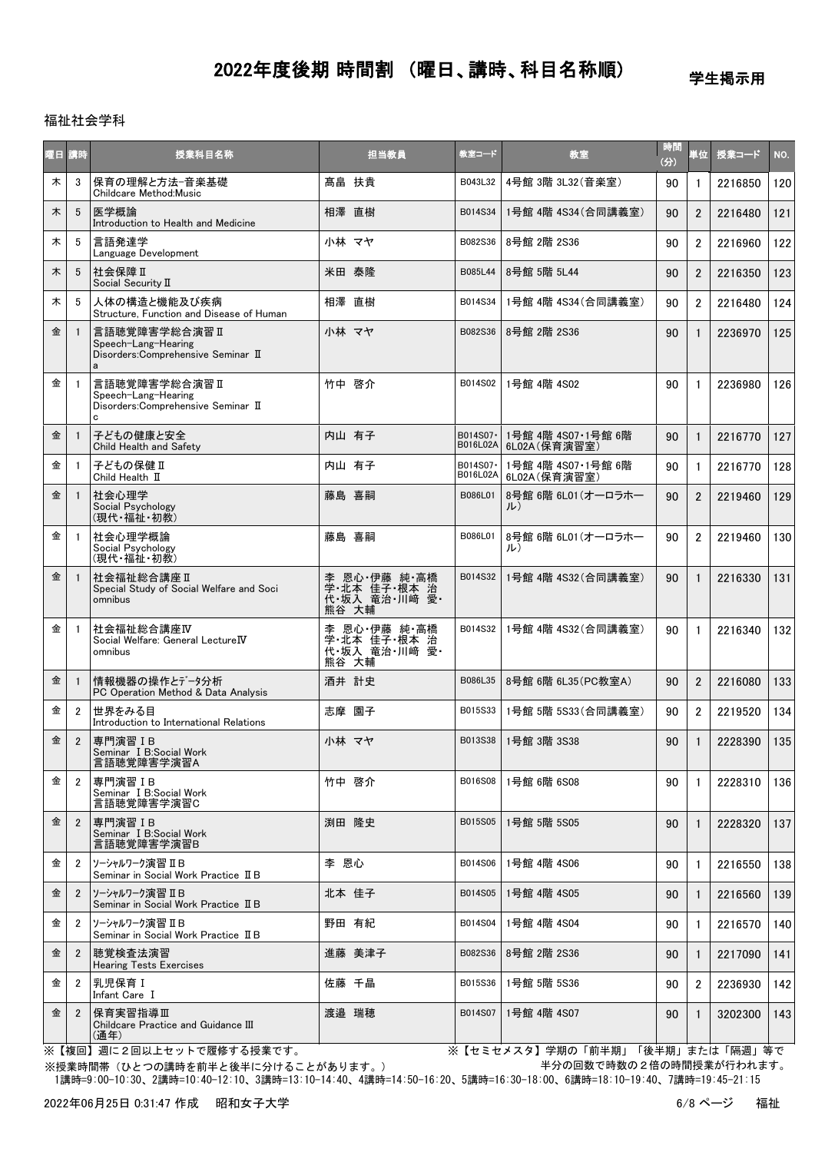学生掲示用

### 福祉社会学科

| 曜日講時 |                | 授業科目名称                                                                            | 担当教員                                                    | 教室コード                 | 教室                                  | 時間<br>(分) | 首位             | 授業コード   | NO. |
|------|----------------|-----------------------------------------------------------------------------------|---------------------------------------------------------|-----------------------|-------------------------------------|-----------|----------------|---------|-----|
| 木    | 3              | 保育の理解と方法-音楽基礎<br>Childcare Method:Music                                           | 髙畠 扶貴                                                   | B043L32               | 4号館 3階 3L32 (音楽室)                   | 90        | 1              | 2216850 | 120 |
| 木    | 5              | 医学概論<br>Introduction to Health and Medicine                                       | 相澤 直樹                                                   | B014S34               | 1号館 4階 4S34 (合同講義室)                 | 90        | $\overline{2}$ | 2216480 | 121 |
| 木    | 5              | 言語発達学<br>Language Development                                                     | 小林 マヤ                                                   | B082S36               | 8号館 2階 2S36                         | 90        | $\overline{2}$ | 2216960 | 122 |
| 木    | 5              | 社会保障Ⅱ<br>Social Security II                                                       | 米田 泰隆                                                   | B085L44               | 8号館 5階 5L44                         | 90        | $\overline{2}$ | 2216350 | 123 |
| 木    | 5              | 人体の構造と機能及び疾病<br>Structure. Function and Disease of Human                          | 相澤 直樹                                                   | B014S34               | 1号館 4階 4S34 (合同講義室)                 | 90        | $\overline{2}$ | 2216480 | 124 |
| 金    |                | 言語聴覚障害学総合演習 II<br>Speech-Lang-Hearing<br>Disorders: Comprehensive Seminar II<br>a | 小林 マヤ                                                   | B082S36               | 8号館 2階 2S36                         | 90        | 1              | 2236970 | 125 |
| 金    | -1             | 言語聴覚障害学総合演習Ⅱ<br>Speech-Lang-Hearing<br>Disorders: Comprehensive Seminar II<br>C   | 竹中 啓介                                                   | B014S02               | 1号館 4階 4S02                         | 90        | $\mathbf{1}$   | 2236980 | 126 |
| 金    |                | 子どもの健康と安全<br>Child Health and Safety                                              | 内山 有子                                                   | B014S07 ·<br>B016L02A | 1号館 4階 4S07·1号館 6階<br>6L02A (保育演習室) | 90        | $\mathbf{1}$   | 2216770 | 127 |
| 金    | -1             | 子どもの保健 II<br>Child Health II                                                      | 内山 有子                                                   | B014S07-<br>B016L02A  | 1号館 4階 4S07·1号館 6階<br>6L02A(保育演習室)  | 90        | $\mathbf{1}$   | 2216770 | 128 |
| 金    |                | 社会心理学<br>Social Psychology<br>(現代・福祉・初教)                                          | 藤島 喜嗣                                                   | B086L01               | 8号館 6階 6L01 (オーロラホー<br>ル)           | 90        | $\overline{2}$ | 2219460 | 129 |
| 金    | -1             | 社会心理学概論<br>Social Psychology<br>(現代·福祉·初教)                                        | 藤島 喜嗣                                                   | B086L01               | 8号館 6階 6L01 (オーロラホー<br>ル)           | 90        | $\overline{2}$ | 2219460 | 130 |
| 金    |                | 社会福祉総合講座Ⅱ<br>Special Study of Social Welfare and Soci<br>omnibus                  | 李 恩心 伊藤 純 高橋<br>- 学·北本 佳子·根本 治<br>代·坂入 竜治·川崎 愛<br>熊谷 大輔 | B014S32               | 1号館 4階 4S32(合同講義室)                  | 90        |                | 2216330 | 131 |
| 金    | $\overline{1}$ | 社会福祉総合講座IV<br>Social Welfare: General LectureIV<br>omnibus                        | 李 恩心 伊藤 純 高橋<br>学·北本 佳子·根本 治<br>代·坂入 竜治·川崎 愛·<br>熊谷 大輔  | B014S32               | 1号館 4階 4S32 (合同講義室)                 | 90        | $\mathbf{1}$   | 2216340 | 132 |
| 金    | -1             | 情報機器の操作とデータ分析<br>PC Operation Method & Data Analysis                              | 酒井 計史                                                   | B086L35               | 8号館 6階 6L35 (PC教室A)                 | 90        | $\overline{2}$ | 2216080 | 133 |
| 金    | $\overline{2}$ | 世界をみる目<br>Introduction to International Relations                                 | 志摩 園子                                                   | B015S33               | 1号館 5階 5S33 (合同講義室)                 | 90        | $\overline{2}$ | 2219520 | 134 |
| 金    | $\overline{2}$ | 専門演習 IB<br>Seminar I B:Social Work<br>言語聴覚障害学演習A                                  | 小林 マヤ                                                   | B013S38               | 1号館 3階 3S38                         | 90        |                | 2228390 | 135 |
| 金    | 2              | 専門演習 IB<br>Seminar I B:Social Work<br>言語聴覚障害学演習C                                  | 竹中 啓介                                                   | B016S08               | 1号館 6階 6S08                         | 90        | 1              | 2228310 | 136 |
| 金    | $\overline{2}$ | 専門演習 IB<br>Seminar I B:Social Work<br>言語聴覚障害学演習B                                  | 渕田 隆史                                                   | B015S05               | 1号館 5階 5S05                         | 90        | $\mathbf{1}$   | 2228320 | 137 |
| 金    | 2              | ソーシャルワーク演習 IB<br>Seminar in Social Work Practice ITB                              | 李 恩心                                                    | B014S06               | 1号館 4階 4S06                         | 90        | 1              | 2216550 | 138 |
| 金    | $\overline{2}$ | ソーシャルワーク演習 IB<br>Seminar in Social Work Practice II B                             | 北本 佳子                                                   | B014S05               | 1号館 4階 4S05                         | 90        | $\mathbf{1}$   | 2216560 | 139 |
| 金    | $\overline{2}$ | ソーシャルワーク演習 IB<br>Seminar in Social Work Practice II B                             | 野田 有紀                                                   | B014S04               | 1号館 4階 4S04                         | 90        | $\mathbf{1}$   | 2216570 | 140 |
| 金    | $\overline{2}$ | 聴覚検査法演習<br><b>Hearing Tests Exercises</b>                                         | 進藤 美津子                                                  | B082S36               | 8号館 2階 2S36                         | 90        | 1              | 2217090 | 141 |
| 金    | 2              | 乳児保育I<br>Infant Care I                                                            | 佐藤 千晶                                                   | B015S36               | 1号館 5階 5S36                         | 90        | $\overline{2}$ | 2236930 | 142 |
| 金    | $\overline{2}$ | 保育実習指導Ⅲ<br>Childcare Practice and Guidance III<br>(通年)                            | 渡邉 瑞穂                                                   | B014S07               | 1号館 4階 4S07                         | 90        | 1              | 3202300 | 143 |

※【複回】週に2回以上セットで履修する授業です。 ※【セミセメスタ】学期の「前半期」「後半期」または「隔週」等で 半分の回数で時数の2倍の時間授業が行われます。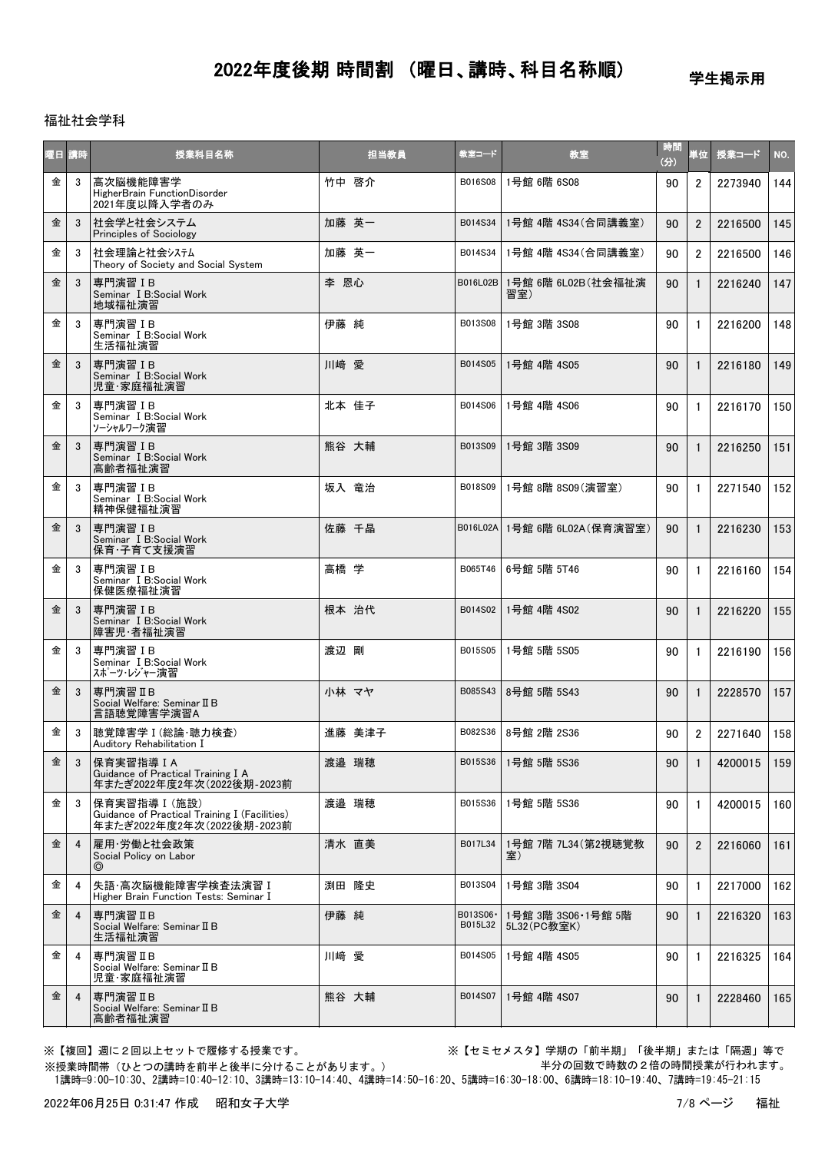学生掲示用

### 福祉社会学科

| 曜日 講時 |                | 授業科目名称                                                                                       | 担当教員   | 教室コード                | 教室                                | 時間<br>(分) | 単位             | 授業コード   | NO. |
|-------|----------------|----------------------------------------------------------------------------------------------|--------|----------------------|-----------------------------------|-----------|----------------|---------|-----|
| 金     | 3              | 高次脳機能障害学<br>HigherBrain FunctionDisorder<br>2021年度以降入学者のみ                                    | 竹中 啓介  | B016S08              | 1号館 6階 6S08                       | 90        | $\overline{2}$ | 2273940 | 144 |
| 金     | 3              | 社会学と社会システム<br><b>Principles of Sociology</b>                                                 | 加藤 英一  | B014S34              | 1号館 4階 4S34(合同講義室)                | 90        | $\overline{2}$ | 2216500 | 145 |
| 金     | 3              | 社会理論と社会システム<br>Theory of Society and Social System                                           | 加藤 英一  | B014S34              | 1号館 4階 4S34 (合同講義室)               | 90        | $\overline{2}$ | 2216500 | 146 |
| 金     | 3              | 専門演習 IB<br>Seminar I B:Social Work<br>地域福祉演習                                                 | 李 恩心   | B016L02B             | 1号館 6階 6L02B(社会福祉演<br>習室)         | 90        | $\mathbf{1}$   | 2216240 | 147 |
| 金     | 3              | 専門演習IB<br>Seminar I B:Social Work<br>生活福祉演習                                                  | 伊藤 純   | B013S08              | 1号館 3階 3S08                       | 90        | $\mathbf{1}$   | 2216200 | 148 |
| 金     | 3              | 専門演習IB<br>Seminar I B:Social Work<br>児童·家庭福祉演習                                               | 川﨑 愛   | B014S05              | 1号館 4階 4S05                       | 90        | $\mathbf{1}$   | 2216180 | 149 |
| 金     | 3              | 専門演習IB<br>Seminar I B:Social Work<br>ソーシャルワーク演習                                              | 北本 佳子  | B014S06              | 1号館 4階 4S06                       | 90        | $\mathbf{1}$   | 2216170 | 150 |
| 金     | 3              | 専門演習 IB<br>Seminar I B:Social Work<br>高齢者福祉演習                                                | 熊谷 大輔  | B013S09              | 1号館 3階 3S09                       | 90        | $\mathbf{1}$   | 2216250 | 151 |
| 金     | 3              | 専門演習IB<br>Seminar I B:Social Work<br>精神保健福祉演習                                                | 坂入 竜治  | B018S09              | 1号館 8階 8S09(演習室)                  | 90        | $\mathbf{1}$   | 2271540 | 152 |
| 金     | 3              | 専門演習IB<br>Seminar I B:Social Work<br>保育・子育て支援演習                                              | 佐藤 千晶  |                      | B016L02A 1号館 6階 6L02A (保育演習室)     | 90        | $\mathbf{1}$   | 2216230 | 153 |
| 金     | 3              | 専門演習IB<br>Seminar I B:Social Work<br>保健医療福祉演習                                                | 高橋 学   | B065T46              | 6号館 5階 5T46                       | 90        | $\mathbf{1}$   | 2216160 | 154 |
| 金     | 3              | 専門演習IB<br>Seminar I B:Social Work<br>障害児·者福祉演習                                               | 根本 治代  | B014S02              | 1号館 4階 4S02                       | 90        | $\mathbf{1}$   | 2216220 | 155 |
| 金     | 3              | 専門演習IB<br>Seminar I B:Social Work<br>スポーツ・レジャー演習                                             | 渡辺 剛   | B015S05              | 1号館 5階 5S05                       | 90        | $\mathbf{1}$   | 2216190 | 156 |
| 金     | 3              | 専門演習 II B<br>Social Welfare: Seminar II B<br>言語聴覚障害学演習A                                      | 小林 マヤ  | B085S43              | 8号館 5階 5S43                       | 90        | $\mathbf{1}$   | 2228570 | 157 |
| 金     | 3              | 聴覚障害学 I (総論·聴力検査)<br>Auditory Rehabilitation I                                               | 進藤 美津子 | B082S36              | 8号館 2階 2S36                       | 90        | $\overline{2}$ | 2271640 | 158 |
| 金     | 3              | 保育実習指導 I A<br>Guidance of Practical Training I A<br>年またぎ2022年度2年次(2022後期-2023前               | 渡邉 瑞穂  | B015S36              | 1号館 5階 5S36                       | 90        | 1              | 4200015 | 159 |
| 金     | 3              | 保育実習指導 I (施設)<br>Guidance of Practical Training I (Facilities)<br>年またぎ2022年度2年次(2022後期-2023前 | 渡邉 瑞穂  | B015S36              | 1号館 5階 5S36                       | 90        | $\mathbf{1}$   | 4200015 | 160 |
| 金     | $\overline{4}$ | 雇用・労働と社会政策<br>Social Policy on Labor<br>$\circledcirc$                                       | 清水 直美  | B017L34              | 1号館 7階 7L34(第2視聴覚教<br>室)          | 90        | $\overline{2}$ | 2216060 | 161 |
| 金     | 4              | 失語·高次脳機能障害学検査法演習 I<br>Higher Brain Function Tests: Seminar I                                 | 渕田 隆史  | B013S04              | 1号館 3階 3S04                       | 90        | $\mathbf{1}$   | 2217000 | 162 |
| 金     | 4              | 専門演習ⅡB<br>Social Welfare: Seminar II B<br>生活福祉演習                                             | 伊藤 純   | B013S06 ·<br>B015L32 | 1号館 3階 3S06·1号館 5階<br>5L32(PC教室K) | 90        | $\mathbf{1}$   | 2216320 | 163 |
| 金     | 4              | 専門演習IB<br>Social Welfare: Seminar II B<br>児童·家庭福祉演習                                          | 川﨑 愛   | B014S05              | 1号館 4階 4S05                       | 90        | $\mathbf{1}$   | 2216325 | 164 |
| 金     | 4              | 専門演習 IIB<br>Social Welfare: Seminar II B<br>高齢者福祉演習                                          | 熊谷 大輔  | B014S07              | 1号館 4階 4S07                       | 90        | $\mathbf{1}$   | 2228460 | 165 |

※授業時間帯(ひとつの講時を前半と後半に分けることがあります。)

※【複回】週に2回以上セットで履修する授業です。 ※【セミセメスタ】学期の「前半期」「後半期」または「隔週」等で 半分の回数で時数の2倍の時間授業が行われます。

1講時=9:00-10:30、2講時=10:40-12:10、3講時=13:10-14:40、4講時=14:50-16:20、5講時=16:30-18:00、6講時=18:10-19:40、7講時=19:45-21:15